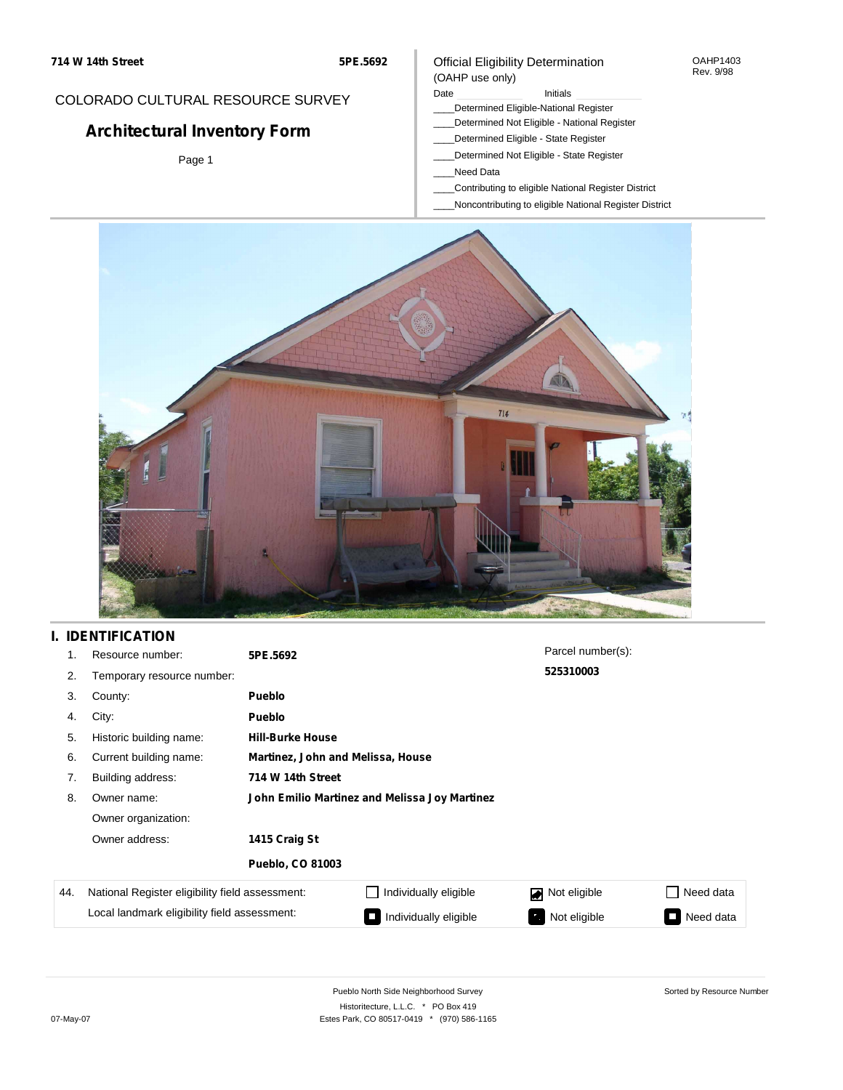## COLORADO CULTURAL RESOURCE SURVEY

# **Architectural Inventory Form**

Page 1

### Official Eligibility Determination (OAHP use only)

#### Date **Initials** Initials

- \_\_\_\_Determined Eligible-National Register
- \_\_\_\_Determined Not Eligible National Register
- \_\_\_\_Determined Eligible State Register
- \_\_\_\_Determined Not Eligible State Register
- \_\_\_\_Need Data
- \_\_\_\_Contributing to eligible National Register District
- \_\_\_\_Noncontributing to eligible National Register District



## **I. IDENTIFICATION**

| 1.  | Resource number:                                | 5PE.5692                                      |                       | Parcel number(s): |                     |  |  |
|-----|-------------------------------------------------|-----------------------------------------------|-----------------------|-------------------|---------------------|--|--|
| 2.  | Temporary resource number:                      |                                               |                       | 525310003         |                     |  |  |
| 3.  | County:                                         | <b>Pueblo</b>                                 |                       |                   |                     |  |  |
| 4.  | City:                                           | <b>Pueblo</b>                                 |                       |                   |                     |  |  |
| 5.  | Historic building name:                         | <b>Hill-Burke House</b>                       |                       |                   |                     |  |  |
| 6.  | Current building name:                          | Martinez, John and Melissa, House             |                       |                   |                     |  |  |
| 7.  | Building address:                               | 714 W 14th Street                             |                       |                   |                     |  |  |
| 8.  | Owner name:                                     | John Emilio Martinez and Melissa Joy Martinez |                       |                   |                     |  |  |
|     | Owner organization:                             |                                               |                       |                   |                     |  |  |
|     | Owner address:                                  | 1415 Craig St                                 |                       |                   |                     |  |  |
|     |                                                 | <b>Pueblo, CO 81003</b>                       |                       |                   |                     |  |  |
| 44. | National Register eligibility field assessment: |                                               | Individually eligible | Not eligible      | Need data           |  |  |
|     | Local landmark eligibility field assessment:    |                                               | Individually eligible | Not eligible      | Need data<br>$\sim$ |  |  |

OAHP1403 Rev. 9/98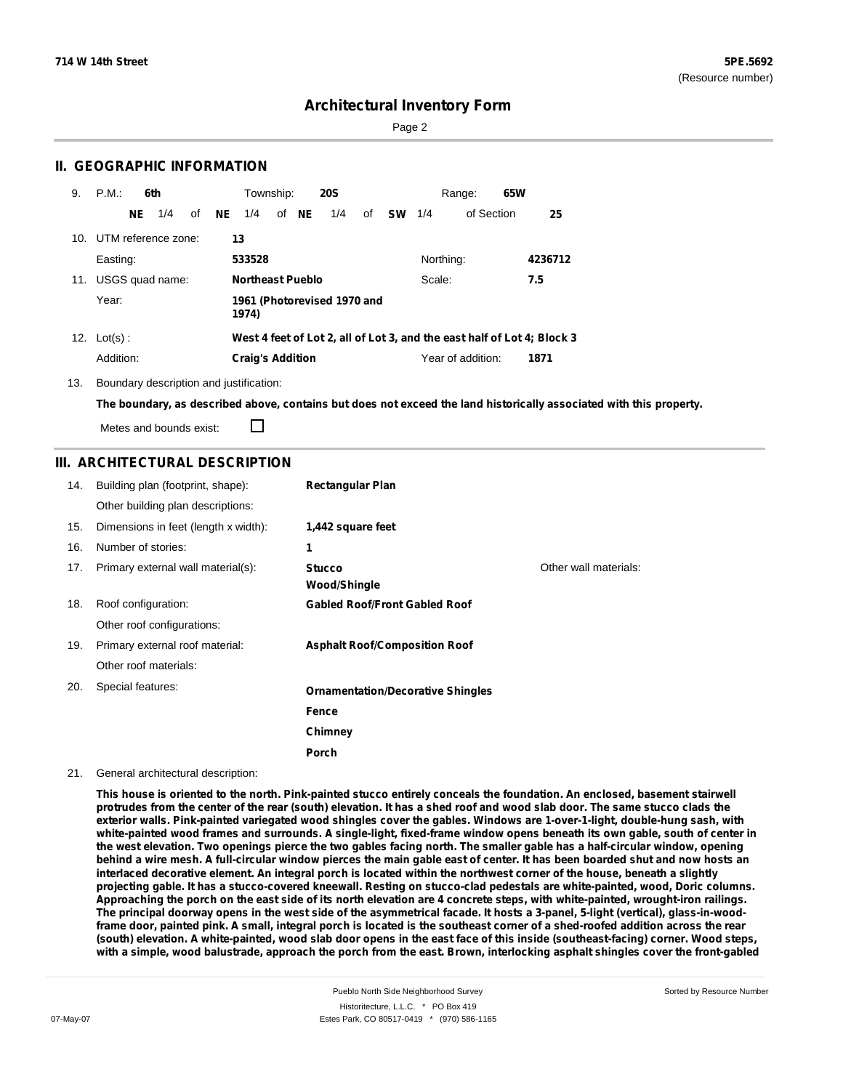Page 2

### **II. GEOGRAPHIC INFORMATION**

| 9.  | P.M.                    |     | 6th |    |     | Township:               |       | <b>20S</b>                  |    |           |           | Range:            | 65W |                                                                         |
|-----|-------------------------|-----|-----|----|-----|-------------------------|-------|-----------------------------|----|-----------|-----------|-------------------|-----|-------------------------------------------------------------------------|
|     |                         | NE. | 1/4 | οf | NE. | 1/4                     | of NE | 1/4                         | of | <b>SW</b> | 1/4       | of Section        |     | 25                                                                      |
|     | 10. UTM reference zone: |     |     |    |     | 13                      |       |                             |    |           |           |                   |     |                                                                         |
|     | Easting:                |     |     |    |     | 533528                  |       |                             |    |           | Northing: |                   |     | 4236712                                                                 |
| 11. | USGS quad name:         |     |     |    |     | <b>Northeast Pueblo</b> |       |                             |    |           | Scale:    |                   |     | 7.5                                                                     |
|     | Year:                   |     |     |    |     | 1974)                   |       | 1961 (Photorevised 1970 and |    |           |           |                   |     |                                                                         |
|     | 12. $Lot(s)$ :          |     |     |    |     |                         |       |                             |    |           |           |                   |     | West 4 feet of Lot 2, all of Lot 3, and the east half of Lot 4; Block 3 |
|     | Addition:               |     |     |    |     | <b>Craig's Addition</b> |       |                             |    |           |           | Year of addition: |     | 1871                                                                    |

13. Boundary description and justification:

The boundary, as described above, contains but does not exceed the land historically associated with this property.

Metes and bounds exist:

П

### **III. ARCHITECTURAL DESCRIPTION**

| 14. | Building plan (footprint, shape):    | <b>Rectangular Plan</b>                  |                       |
|-----|--------------------------------------|------------------------------------------|-----------------------|
|     | Other building plan descriptions:    |                                          |                       |
| 15. | Dimensions in feet (length x width): | 1,442 square feet                        |                       |
| 16. | Number of stories:                   | 1                                        |                       |
| 17. | Primary external wall material(s):   | <b>Stucco</b><br>Wood/Shingle            | Other wall materials: |
| 18. | Roof configuration:                  | <b>Gabled Roof/Front Gabled Roof</b>     |                       |
|     | Other roof configurations:           |                                          |                       |
| 19. | Primary external roof material:      | <b>Asphalt Roof/Composition Roof</b>     |                       |
|     | Other roof materials:                |                                          |                       |
| 20. | Special features:                    | <b>Ornamentation/Decorative Shingles</b> |                       |
|     |                                      | Fence                                    |                       |
|     |                                      | Chimney                                  |                       |
|     |                                      | Porch                                    |                       |

#### 21. General architectural description:

This house is oriented to the north. Pink-painted stucco entirely conceals the foundation. An enclosed, basement stairwell protrudes from the center of the rear (south) elevation. It has a shed roof and wood slab door. The same stucco clads the exterior walls. Pink-painted variegated wood shingles cover the gables. Windows are 1-over-1-light, double-hung sash, with white-painted wood frames and surrounds. A single-light, fixed-frame window opens beneath its own gable, south of center in the west elevation. Two openings pierce the two gables facing north. The smaller gable has a half-circular window, opening behind a wire mesh. A full-circular window pierces the main gable east of center. It has been boarded shut and now hosts an interlaced decorative element. An integral porch is located within the northwest corner of the house, beneath a slightly projecting gable. It has a stucco-covered kneewall. Resting on stucco-clad pedestals are white-painted, wood, Doric columns. Approaching the porch on the east side of its north elevation are 4 concrete steps, with white-painted, wrought-iron railings. The principal doorway opens in the west side of the asymmetrical facade. It hosts a 3-panel, 5-light (vertical), glass-in-woodframe door, painted pink. A small, integral porch is located is the southeast corner of a shed-roofed addition across the rear (south) elevation. A white-painted, wood slab door opens in the east face of this inside (southeast-facing) corner. Wood steps, with a simple, wood balustrade, approach the porch from the east. Brown, interlocking asphalt shingles cover the front-gabled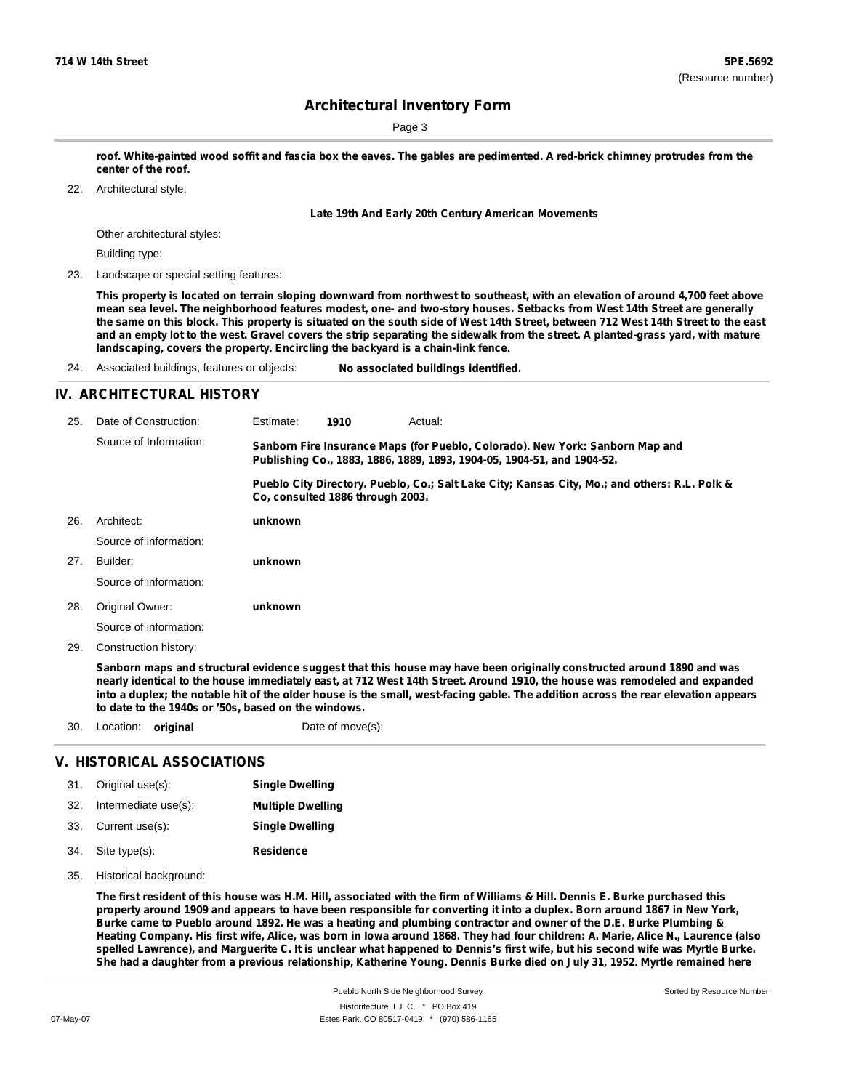Page 3

roof. White-painted wood soffit and fascia box the eaves. The gables are pedimented. A red-brick chimney protrudes from the **center of the roof.**

Architectural style: 22.

**Late 19th And Early 20th Century American Movements**

Other architectural styles:

Building type:

23. Landscape or special setting features:

This property is located on terrain sloping downward from northwest to southeast, with an elevation of around 4,700 feet above mean sea level. The neighborhood features modest, one- and two-story houses. Setbacks from West 14th Street are generally the same on this block. This property is situated on the south side of West 14th Street, between 712 West 14th Street to the east and an empty lot to the west. Gravel covers the strip separating the sidewalk from the street. A planted-grass yard, with mature **landscaping, covers the property. Encircling the backyard is a chain-link fence.**

24. Associated buildings, features or objects: **No associated buildings identified.**

### **IV. ARCHITECTURAL HISTORY**

| 25. | Date of Construction:  | Estimate:                                                                                                                                               | 1910                             | Actual:                                                                                       |  |  |  |
|-----|------------------------|---------------------------------------------------------------------------------------------------------------------------------------------------------|----------------------------------|-----------------------------------------------------------------------------------------------|--|--|--|
|     | Source of Information: | Sanborn Fire Insurance Maps (for Pueblo, Colorado). New York: Sanborn Map and<br>Publishing Co., 1883, 1886, 1889, 1893, 1904-05, 1904-51, and 1904-52. |                                  |                                                                                               |  |  |  |
|     |                        |                                                                                                                                                         | Co, consulted 1886 through 2003. | Pueblo City Directory. Pueblo, Co.; Salt Lake City; Kansas City, Mo.; and others: R.L. Polk & |  |  |  |
| 26. | Architect:             | unknown                                                                                                                                                 |                                  |                                                                                               |  |  |  |
|     | Source of information: |                                                                                                                                                         |                                  |                                                                                               |  |  |  |
| 27. | Builder:               | unknown                                                                                                                                                 |                                  |                                                                                               |  |  |  |
|     | Source of information: |                                                                                                                                                         |                                  |                                                                                               |  |  |  |
| 28. | Original Owner:        | unknown                                                                                                                                                 |                                  |                                                                                               |  |  |  |
|     | Source of information: |                                                                                                                                                         |                                  |                                                                                               |  |  |  |
| 29. | Construction history:  |                                                                                                                                                         |                                  |                                                                                               |  |  |  |

Sanborn maps and structural evidence suggest that this house may have been originally constructed around 1890 and was nearly identical to the house immediately east, at 712 West 14th Street. Around 1910, the house was remodeled and expanded into a duplex; the notable hit of the older house is the small, west-facing gable. The addition across the rear elevation appears **to date to the 1940s or '50s, based on the windows.**

30. Location: **original** Date of move(s):

### **V. HISTORICAL ASSOCIATIONS**

|     | 31. Original use(s): | <b>Single Dwelling</b>   |
|-----|----------------------|--------------------------|
| 32. | Intermediate use(s): | <b>Multiple Dwelling</b> |
|     | 33. Current use(s):  | <b>Single Dwelling</b>   |
|     | 34. Site type(s):    | <b>Residence</b>         |

35. Historical background:

The first resident of this house was H.M. Hill, associated with the firm of Williams & Hill. Dennis E. Burke purchased this property around 1909 and appears to have been responsible for converting it into a duplex. Born around 1867 in New York, Burke came to Pueblo around 1892. He was a heating and plumbing contractor and owner of the D.E. Burke Plumbing & Heating Company. His first wife, Alice, was born in lowa around 1868. They had four children: A. Marie, Alice N., Laurence (also spelled Lawrence), and Marquerite C. It is unclear what happened to Dennis's first wife, but his second wife was Myrtle Burke. She had a daughter from a previous relationship, Katherine Young. Dennis Burke died on July 31, 1952. Myrtle remained here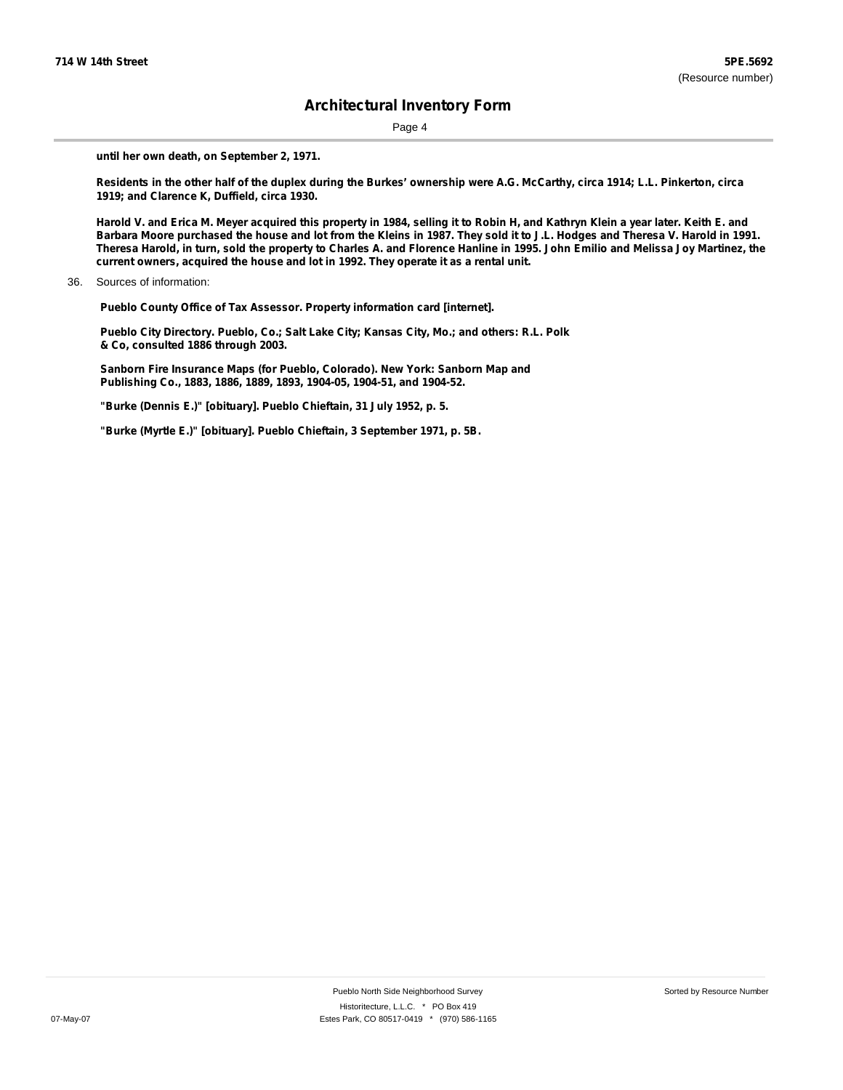Page 4

**until her own death, on September 2, 1971.**

Residents in the other half of the duplex during the Burkes' ownership were A.G. McCarthy, circa 1914; L.L. Pinkerton, circa **1919; and Clarence K, Duffield, circa 1930.**

Harold V. and Erica M. Meyer acquired this property in 1984, selling it to Robin H, and Kathryn Klein a year later. Keith E. and Barbara Moore purchased the house and lot from the Kleins in 1987. They sold it to J.L. Hodges and Theresa V. Harold in 1991. Theresa Harold, in turn, sold the property to Charles A. and Florence Hanline in 1995. John Emilio and Melissa Joy Martinez, the **current owners, acquired the house and lot in 1992. They operate it as a rental unit.**

**Pueblo County Office of Tax Assessor. Property information card [internet].**

**Pueblo City Directory. Pueblo, Co.; Salt Lake City; Kansas City, Mo.; and others: R.L. Polk & Co, consulted 1886 through 2003.**

**Sanborn Fire Insurance Maps (for Pueblo, Colorado). New York: Sanborn Map and Publishing Co., 1883, 1886, 1889, 1893, 1904-05, 1904-51, and 1904-52.**

**"Burke (Dennis E.)" [obituary]. Pueblo Chieftain, 31 July 1952, p. 5.**

**"Burke (Myrtle E.)" [obituary]. Pueblo Chieftain, 3 September 1971, p. 5B.**

<sup>36.</sup> Sources of information: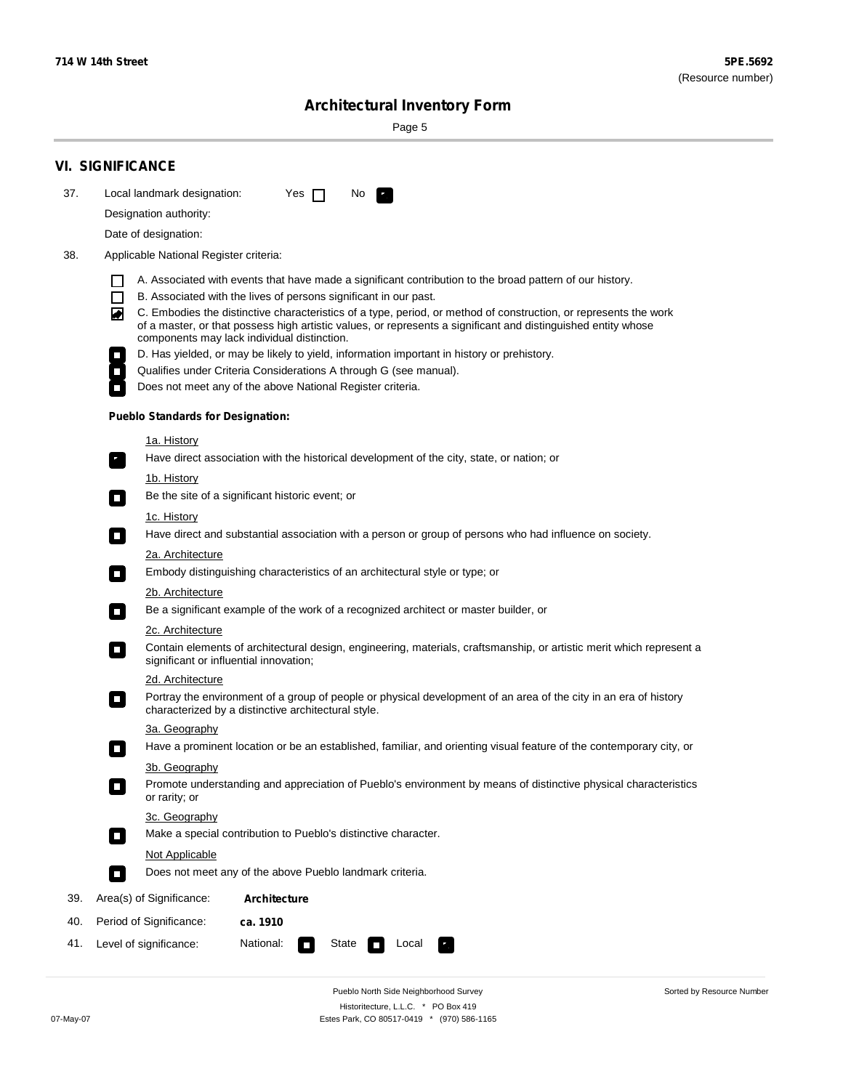÷

Sorted by Resource Number

# **Architectural Inventory Form**

Page 5

|     | <b>VI. SIGNIFICANCE</b>                                                                                                                                                                                                                                                                                                                                                                                                                                                                                                                                                                                                                                                                                                                                            |  |  |  |  |  |  |
|-----|--------------------------------------------------------------------------------------------------------------------------------------------------------------------------------------------------------------------------------------------------------------------------------------------------------------------------------------------------------------------------------------------------------------------------------------------------------------------------------------------------------------------------------------------------------------------------------------------------------------------------------------------------------------------------------------------------------------------------------------------------------------------|--|--|--|--|--|--|
| 37. | Local landmark designation:<br>Yes $\Box$<br>No.                                                                                                                                                                                                                                                                                                                                                                                                                                                                                                                                                                                                                                                                                                                   |  |  |  |  |  |  |
|     | Designation authority:                                                                                                                                                                                                                                                                                                                                                                                                                                                                                                                                                                                                                                                                                                                                             |  |  |  |  |  |  |
|     | Date of designation:                                                                                                                                                                                                                                                                                                                                                                                                                                                                                                                                                                                                                                                                                                                                               |  |  |  |  |  |  |
| 38. | Applicable National Register criteria:                                                                                                                                                                                                                                                                                                                                                                                                                                                                                                                                                                                                                                                                                                                             |  |  |  |  |  |  |
|     | A. Associated with events that have made a significant contribution to the broad pattern of our history.<br>l.<br>B. Associated with the lives of persons significant in our past.<br>$\Box$<br>C. Embodies the distinctive characteristics of a type, period, or method of construction, or represents the work<br>◙<br>of a master, or that possess high artistic values, or represents a significant and distinguished entity whose<br>components may lack individual distinction.<br>D. Has yielded, or may be likely to yield, information important in history or prehistory.<br>Qualifies under Criteria Considerations A through G (see manual).<br>Does not meet any of the above National Register criteria.<br><b>Pueblo Standards for Designation:</b> |  |  |  |  |  |  |
|     | 1a. History                                                                                                                                                                                                                                                                                                                                                                                                                                                                                                                                                                                                                                                                                                                                                        |  |  |  |  |  |  |
|     | Have direct association with the historical development of the city, state, or nation; or                                                                                                                                                                                                                                                                                                                                                                                                                                                                                                                                                                                                                                                                          |  |  |  |  |  |  |
|     | <u>1b. History</u><br>Be the site of a significant historic event; or<br>$\mathcal{L}_{\mathcal{A}}$                                                                                                                                                                                                                                                                                                                                                                                                                                                                                                                                                                                                                                                               |  |  |  |  |  |  |
|     | 1c. History<br>Have direct and substantial association with a person or group of persons who had influence on society.<br>$\blacksquare$                                                                                                                                                                                                                                                                                                                                                                                                                                                                                                                                                                                                                           |  |  |  |  |  |  |
|     | 2a. Architecture<br>Embody distinguishing characteristics of an architectural style or type; or<br>$\overline{\phantom{a}}$                                                                                                                                                                                                                                                                                                                                                                                                                                                                                                                                                                                                                                        |  |  |  |  |  |  |
|     | 2b. Architecture                                                                                                                                                                                                                                                                                                                                                                                                                                                                                                                                                                                                                                                                                                                                                   |  |  |  |  |  |  |
|     | Be a significant example of the work of a recognized architect or master builder, or<br>$\sim$                                                                                                                                                                                                                                                                                                                                                                                                                                                                                                                                                                                                                                                                     |  |  |  |  |  |  |
|     | 2c. Architecture<br>Contain elements of architectural design, engineering, materials, craftsmanship, or artistic merit which represent a<br>О                                                                                                                                                                                                                                                                                                                                                                                                                                                                                                                                                                                                                      |  |  |  |  |  |  |
|     | significant or influential innovation;<br>2d. Architecture                                                                                                                                                                                                                                                                                                                                                                                                                                                                                                                                                                                                                                                                                                         |  |  |  |  |  |  |
|     | Portray the environment of a group of people or physical development of an area of the city in an era of history<br>$\Box$<br>characterized by a distinctive architectural style.                                                                                                                                                                                                                                                                                                                                                                                                                                                                                                                                                                                  |  |  |  |  |  |  |
|     | 3a. Geography                                                                                                                                                                                                                                                                                                                                                                                                                                                                                                                                                                                                                                                                                                                                                      |  |  |  |  |  |  |
|     | Have a prominent location or be an established, familiar, and orienting visual feature of the contemporary city, or                                                                                                                                                                                                                                                                                                                                                                                                                                                                                                                                                                                                                                                |  |  |  |  |  |  |
|     | 3b. Geography                                                                                                                                                                                                                                                                                                                                                                                                                                                                                                                                                                                                                                                                                                                                                      |  |  |  |  |  |  |
|     | Promote understanding and appreciation of Pueblo's environment by means of distinctive physical characteristics<br>or rarity; or                                                                                                                                                                                                                                                                                                                                                                                                                                                                                                                                                                                                                                   |  |  |  |  |  |  |
|     | 3c. Geography<br>Make a special contribution to Pueblo's distinctive character.<br>$\sim$                                                                                                                                                                                                                                                                                                                                                                                                                                                                                                                                                                                                                                                                          |  |  |  |  |  |  |
|     | Not Applicable                                                                                                                                                                                                                                                                                                                                                                                                                                                                                                                                                                                                                                                                                                                                                     |  |  |  |  |  |  |
|     | Does not meet any of the above Pueblo landmark criteria.<br>$\overline{\phantom{a}}$                                                                                                                                                                                                                                                                                                                                                                                                                                                                                                                                                                                                                                                                               |  |  |  |  |  |  |
| 39. | Area(s) of Significance:<br><b>Architecture</b>                                                                                                                                                                                                                                                                                                                                                                                                                                                                                                                                                                                                                                                                                                                    |  |  |  |  |  |  |
| 40. | Period of Significance:<br>ca. 1910                                                                                                                                                                                                                                                                                                                                                                                                                                                                                                                                                                                                                                                                                                                                |  |  |  |  |  |  |
| 41. | National:<br>Level of significance:<br>State<br>Local<br>П<br>м.                                                                                                                                                                                                                                                                                                                                                                                                                                                                                                                                                                                                                                                                                                   |  |  |  |  |  |  |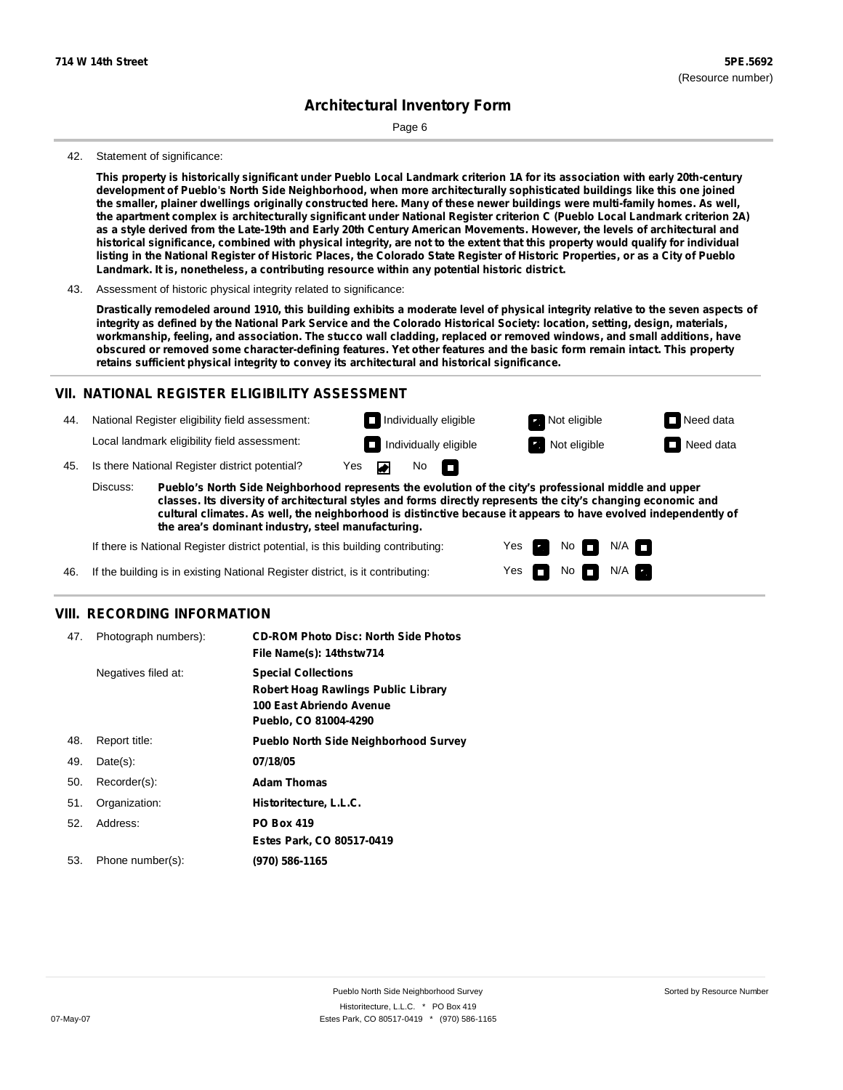Page 6

#### 42. Statement of significance:

This property is historically significant under Pueblo Local Landmark criterion 1A for its association with early 20th-century **development of Pueblo's North Side Neighborhood, when more architecturally sophisticated buildings like this one joined** the smaller, plainer dwellings originally constructed here. Many of these newer buildings were multi-family homes. As well, the apartment complex is architecturally significant under National Register criterion C (Pueblo Local Landmark criterion 2A) as a style derived from the Late-19th and Early 20th Century American Movements. However, the levels of architectural and historical significance, combined with physical integrity, are not to the extent that this property would qualify for individual listing in the National Register of Historic Places, the Colorado State Register of Historic Properties, or as a City of Pueblo **Landmark. It is, nonetheless, a contributing resource within any potential historic district.**

43. Assessment of historic physical integrity related to significance:

Drastically remodeled around 1910, this building exhibits a moderate level of physical integrity relative to the seven aspects of integrity as defined by the National Park Service and the Colorado Historical Society: location, setting, design, materials, workmanship, feeling, and association. The stucco wall cladding, replaced or removed windows, and small additions, have obscured or removed some character-defining features. Yet other features and the basic form remain intact. This property **retains sufficient physical integrity to convey its architectural and historical significance.**

### **VII. NATIONAL REGISTER ELIGIBILITY ASSESSMENT**

44. National Register eligibility field assessment: Local landmark eligibility field assessment: **Individually eligible Not eligible** Not eligible **Need data Individually eligible Not eligible** Not eligible **Need data** 

45. Is there National Register district potential? Yes ▰

**Pueblo's North Side Neighborhood represents the evolution of the city's professional middle and upper classes. Its diversity of architectural styles and forms directly represents the city's changing economic and cultural climates. As well, the neighborhood is distinctive because it appears to have evolved independently of the area's dominant industry, steel manufacturing.** Discuss:

No

IT.

Yes Yes No

 $No$   $M/A$ 

 $N/A$ 

If there is National Register district potential, is this building contributing:

If the building is in existing National Register district, is it contributing: 46.

### **VIII. RECORDING INFORMATION**

| 47. | Photograph numbers): | <b>CD-ROM Photo Disc: North Side Photos</b><br>File Name(s): 14thstw714                                                       |
|-----|----------------------|-------------------------------------------------------------------------------------------------------------------------------|
|     | Negatives filed at:  | <b>Special Collections</b><br><b>Robert Hoag Rawlings Public Library</b><br>100 East Abriendo Avenue<br>Pueblo, CO 81004-4290 |
| 48. | Report title:        | <b>Pueblo North Side Neighborhood Survey</b>                                                                                  |
| 49. | $Date(s)$ :          | 07/18/05                                                                                                                      |
| 50. | Recorder(s):         | <b>Adam Thomas</b>                                                                                                            |
| 51. | Organization:        | Historitecture, L.L.C.                                                                                                        |
| 52. | Address:             | <b>PO Box 419</b>                                                                                                             |
|     |                      | Estes Park, CO 80517-0419                                                                                                     |
| 53. | Phone number(s):     | (970) 586-1165                                                                                                                |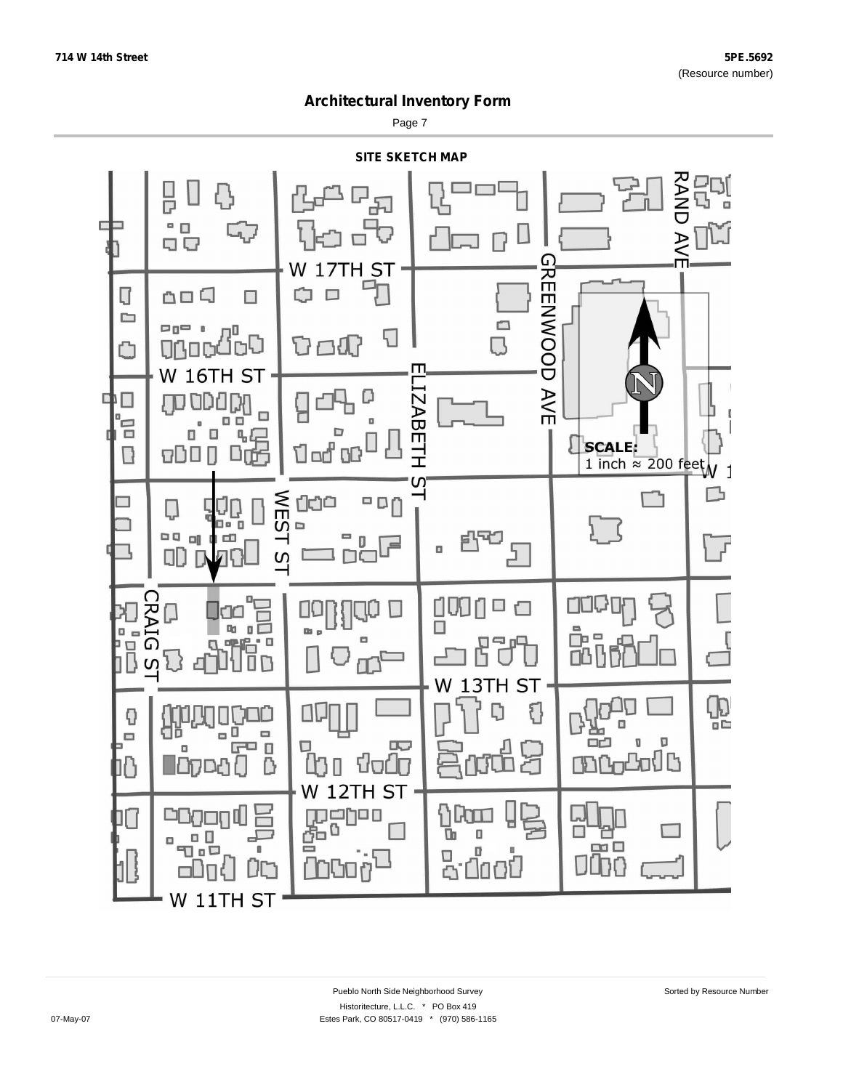Page 7